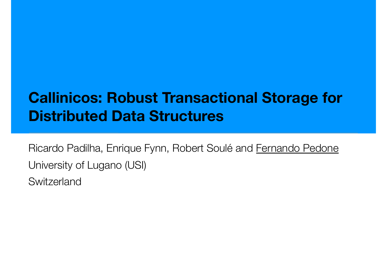### **Callinicos: Robust Transactional Storage for Distributed Data Structures**

Ricardo Padilha, Enrique Fynn, Robert Soulé and Fernando Pedone University of Lugano (USI) **Switzerland**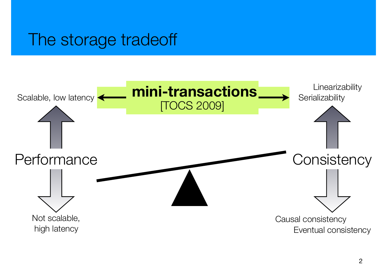### The storage tradeoff

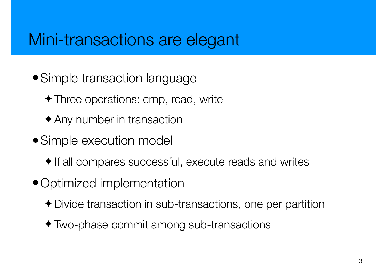### Mini-transactions are elegant

- Simple transaction language
	- ✦ Three operations: cmp, read, write
	- ✦ Any number in transaction
- Simple execution model
	- ✦ If all compares successful, execute reads and writes
- •Optimized implementation
	- ✦ Divide transaction in sub-transactions, one per partition
	- ✦ Two-phase commit among sub-transactions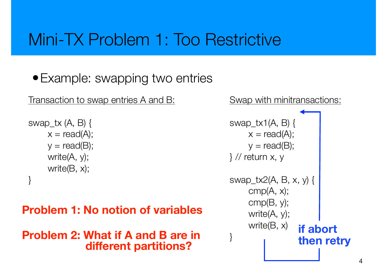### Mini-TX Problem 1: Too Restrictive

#### • Example: swapping two entries

Transaction to swap entries A and B:

```
swap_tx (A, B) {
     x = read(A);y = read(B);write(A, y); 
     write(B, x); 
}
```
#### **Problem 1: No notion of variables**

#### **Problem 2: What if A and B are in different partitions?**

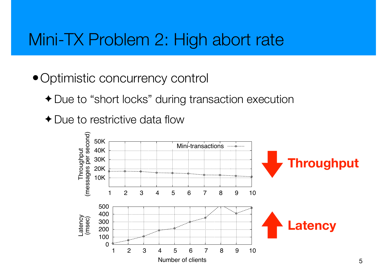### Mini-TX Problem 2: High abort rate

- Optimistic concurrency control
	- ✦ Due to "short locks" during transaction execution
	- ◆ Due to restrictive data flow

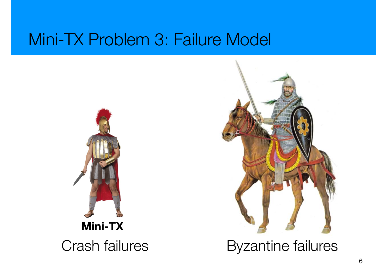### Mini-TX Problem 3: Failure Model





Crash failures Byzantine failures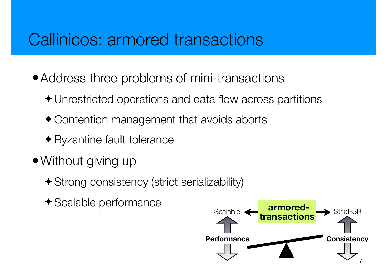### Callinicos: armored transactions

- Address three problems of mini-transactions
	- ✦ Unrestricted operations and data flow across partitions
	- ✦ Contention management that avoids aborts
	- ✦ Byzantine fault tolerance
- Without giving up
	- ✦ Strong consistency (strict serializability)
	- ✦ Scalable performance

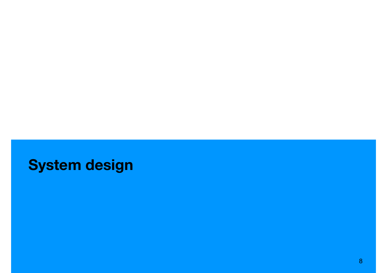### **System design**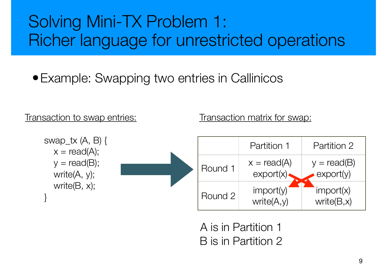## Solving Mini-TX Problem 1: Richer language for unrestricted operations

### • Example: Swapping two entries in Callinicos

#### Transaction to swap entries:

Transaction matrix for swap:



A is in Partition 1 B is in Partition 2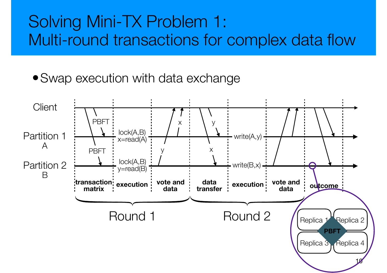### Solving Mini-TX Problem 1: Multi-round transactions for complex data flow

• Swap execution with data exchange

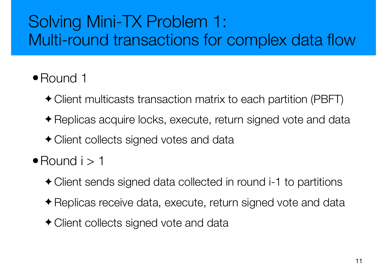## Solving Mini-TX Problem 1: Multi-round transactions for complex data flow

#### •Round 1

- ✦ Client multicasts transaction matrix to each partition (PBFT)
- ✦ Replicas acquire locks, execute, return signed vote and data
- ✦ Client collects signed votes and data
- $\bullet$  Round  $i > 1$ 
	- ✦ Client sends signed data collected in round i-1 to partitions
	- ✦ Replicas receive data, execute, return signed vote and data
	- ✦ Client collects signed vote and data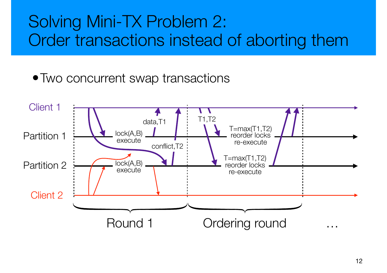### Solving Mini-TX Problem 2: Order transactions instead of aborting them

• Two concurrent swap transactions

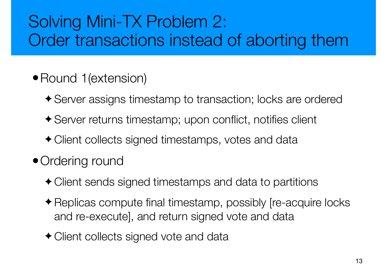## Solving Mini-TX Problem 2: Order transactions instead of aborting them

#### • Round 1(extension)

- ✦ Server assigns timestamp to transaction; locks are ordered
- ✦ Server returns timestamp; upon conflict, notifies client
- ✦ Client collects signed timestamps, votes and data

### • Ordering round

- ✦ Client sends signed timestamps and data to partitions
- ✦ Replicas compute final timestamp, possibly [re-acquire locks and re-execute], and return signed vote and data
- ✦ Client collects signed vote and data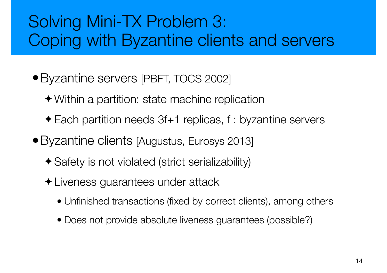## Solving Mini-TX Problem 3: Coping with Byzantine clients and servers

- •Byzantine servers [PBFT, TOCS 2002]
	- ✦ Within a partition: state machine replication
	- ✦ Each partition needs 3f+1 replicas, f : byzantine servers
- Byzantine clients [Augustus, Eurosys 2013]
	- ✦ Safety is not violated (strict serializability)
	- ✦ Liveness guarantees under attack
		- Unfinished transactions (fixed by correct clients), among others
		- Does not provide absolute liveness guarantees (possible?)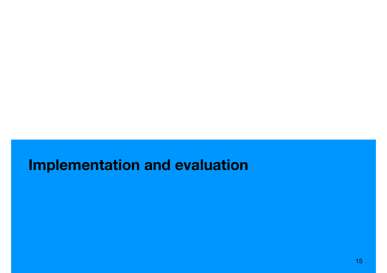### **Implementation and evaluation**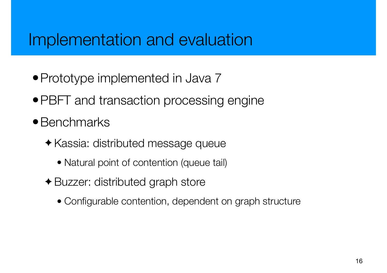### Implementation and evaluation

- Prototype implemented in Java 7
- PBFT and transaction processing engine
- Benchmarks
	- ✦ Kassia: distributed message queue
		- Natural point of contention (queue tail)
	- ✦ Buzzer: distributed graph store
		- Configurable contention, dependent on graph structure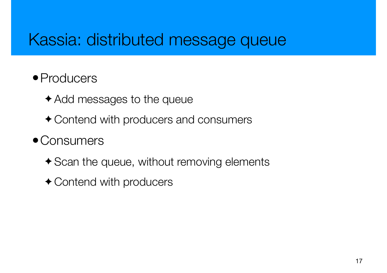### Kassia: distributed message queue

#### • Producers

- ✦ Add messages to the queue
- ✦ Contend with producers and consumers

#### • Consumers

- ✦ Scan the queue, without removing elements
- ◆ Contend with producers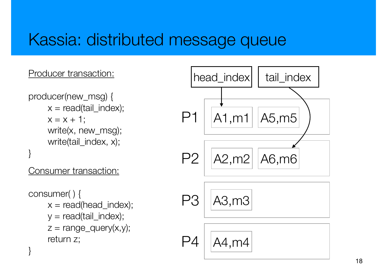### Kassia: distributed message queue

#### Producer transaction:

producer(new\_msg) {  $x = read(tail_index);$  $x = x + 1$ ; write(x, new\_msg); write(tail\_index, x); }

Consumer transaction:

```
consumer( ) { 
    x = read(head_index);y = read(tail_index);z = range\_query(x,y);return z; 
}
```
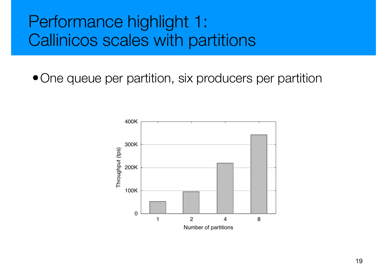### Performance highlight 1: Callinicos scales with partitions

• One queue per partition, six producers per partition

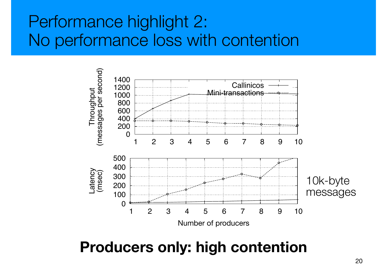### Performance highlight 2: No performance loss with contention



### **Producers only: high contention**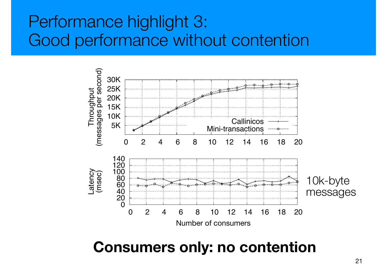### Performance highlight 3: Good performance without contention



#### **Consumers only: no contention**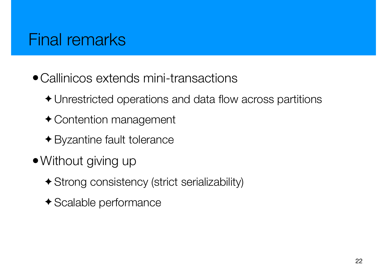### Final remarks

- •Callinicos extends mini-transactions
	- ✦ Unrestricted operations and data flow across partitions
	- ✦ Contention management
	- ✦ Byzantine fault tolerance
- Without giving up
	- ✦ Strong consistency (strict serializability)
	- ✦ Scalable performance